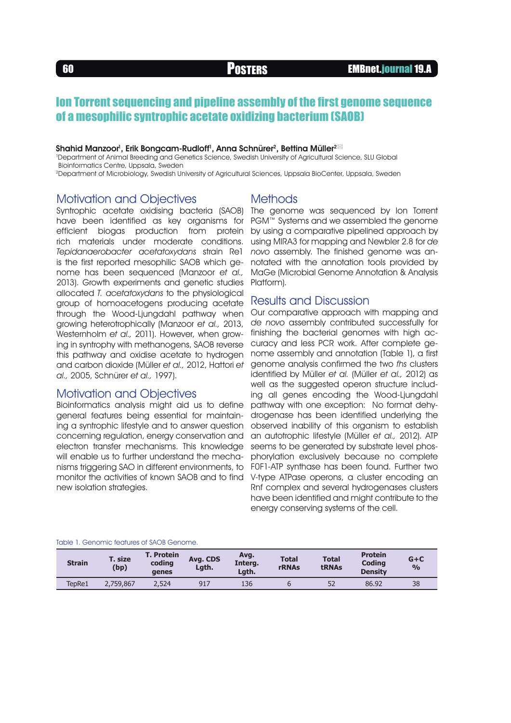## Ion Torrent sequencing and pipeline assembly of the first genome sequence of a mesophilic syntrophic acetate oxidizing bacterium (SAOB)

#### Shahid Manzoor<sup>ı</sup>, Erik Bongcam-Rudloff<sup>ı</sup>, Anna Schnürer<sup>2</sup>, Bettina Müller<sup>2 $\boxtimes$ </sup>

1 Department of Animal Breeding and Genetics Science, Swedish University of Agricultural Science, SLU Global Bioinformatics Centre, Uppsala, Sweden

2Department of Microbiology, Swedish University of Agricultural Sciences, Uppsala BioCenter, Uppsala, Sweden

### Motivation and Objectives

have been identified as key organisms for efficient biogas production from protein rich materials under moderate conditions. Tepidanaerobacter acetatoxydans strain Re1 is the first reported mesophilic SAOB which genome has been sequenced (Manzoor et al., 2013). Growth experiments and genetic studies allocated T. acetatoxydans to the physiological group of homoacetogens producing acetate through the Wood-Ljungdahl pathway when growing heterotrophically (Manzoor et al., 2013, Westernholm et al., 2011). However, when growing in syntrophy with methanogens, SAOB reverse this pathway and oxidise acetate to hydrogen and carbon dioxide (Müller et al., 2012, Hattori et al., 2005, Schnürer et al., 1997).

### Motivation and Objectives

Bioinformatics analysis might aid us to define general features being essential for maintaining a syntrophic lifestyle and to answer question concerning regulation, energy conservation and electron transfer mechanisms. This knowledge will enable us to further understand the mechanisms triggering SAO in different environments, to monitor the activities of known SAOB and to find new isolation strategies.

#### **Methods**

Syntrophic acetate oxidising bacteria (SAOB) The genome was sequenced by Ion Torrent PGM™ Systems and we assembled the genome by using a comparative pipelined approach by using MIRA3 for mapping and Newbler 2.8 for de novo assembly. The finished genome was annotated with the annotation tools provided by MaGe (Microbial Genome Annotation & Analysis Platform).

#### Results and Discussion

Our comparative approach with mapping and de novo assembly contributed successfully for finishing the bacterial genomes with high accuracy and less PCR work. After complete genome assembly and annotation (Table 1), a first genome analysis confirmed the two fhs clusters identified by Müller et al. (Müller et al., 2012) as well as the suggested operon structure including all genes encoding the Wood-Ljungdahl pathway with one exception: No format dehydrogenase has been identified underlying the observed inability of this organism to establish an autotrophic lifestyle (Müller et al., 2012). ATP seems to be generated by substrate level phosphorylation exclusively because no complete F0F1-ATP synthase has been found. Further two V-type ATPase operons, a cluster encoding an Rnf complex and several hydrogenases clusters have been identified and might contribute to the energy conserving systems of the cell.

#### Table 1. Genomic features of SAOB Genome.

| <b>Strain</b> | <b>T. size</b><br>(bp) | <b>T. Protein</b><br>coding<br>genes | Avg. CDS<br>Lgth. | Avg.<br>Interg.<br>Lath. | <b>Total</b><br><b>rRNAs</b> | <b>Total</b><br><b>tRNAs</b> | <b>Protein</b><br><b>Coding</b><br><b>Density</b> | $G + C$<br>$\frac{0}{0}$ |
|---------------|------------------------|--------------------------------------|-------------------|--------------------------|------------------------------|------------------------------|---------------------------------------------------|--------------------------|
| TepRe1        | 2.759.867              | 2,524                                | 917               | 136                      |                              | 52                           | 86.92                                             | 38                       |